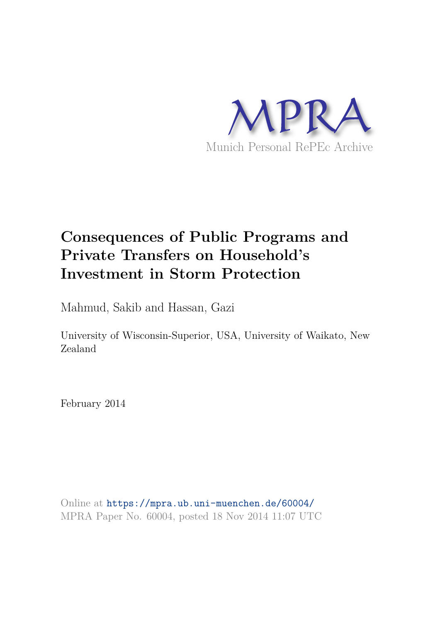

# **Consequences of Public Programs and Private Transfers on Household's Investment in Storm Protection**

Mahmud, Sakib and Hassan, Gazi

University of Wisconsin-Superior, USA, University of Waikato, New Zealand

February 2014

Online at https://mpra.ub.uni-muenchen.de/60004/ MPRA Paper No. 60004, posted 18 Nov 2014 11:07 UTC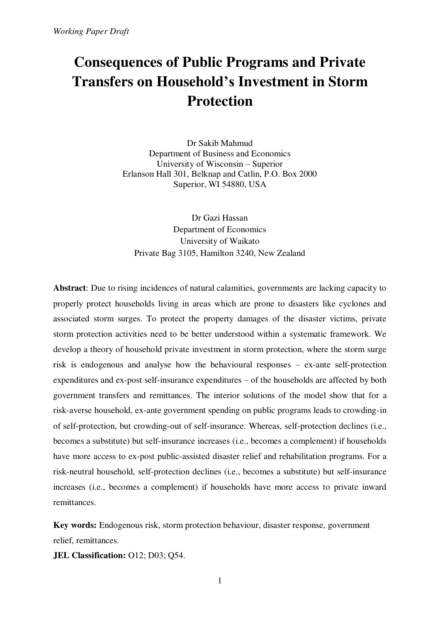# **Consequences of Public Programs and Private Transfers on Household's Investment in Storm Protection**

Dr Sakib Mahmud Department of Business and Economics University of Wisconsin – Superior Erlanson Hall 301, Belknap and Catlin, P.O. Box 2000 Superior, WI 54880, USA

Dr Gazi Hassan Department of Economics University of Waikato Private Bag 3105, Hamilton 3240, New Zealand

**Abstract**: Due to rising incidences of natural calamities, governments are lacking capacity to properly protect households living in areas which are prone to disasters like cyclones and associated storm surges. To protect the property damages of the disaster victims, private storm protection activities need to be better understood within a systematic framework. We develop a theory of household private investment in storm protection, where the storm surge risk is endogenous and analyse how the behavioural responses – ex-ante self-protection expenditures and ex-post self-insurance expenditures – of the households are affected by both government transfers and remittances. The interior solutions of the model show that for a risk-averse household, ex-ante government spending on public programs leads to crowding-in of self-protection, but crowding-out of self-insurance. Whereas, self-protection declines (i.e., becomes a substitute) but self-insurance increases (i.e., becomes a complement) if households have more access to ex-post public-assisted disaster relief and rehabilitation programs. For a risk-neutral household, self-protection declines (i.e., becomes a substitute) but self-insurance increases (i.e., becomes a complement) if households have more access to private inward remittances.

**Key words:** Endogenous risk, storm protection behaviour, disaster response, government relief, remittances.

**JEL Classification:** O12; D03; Q54.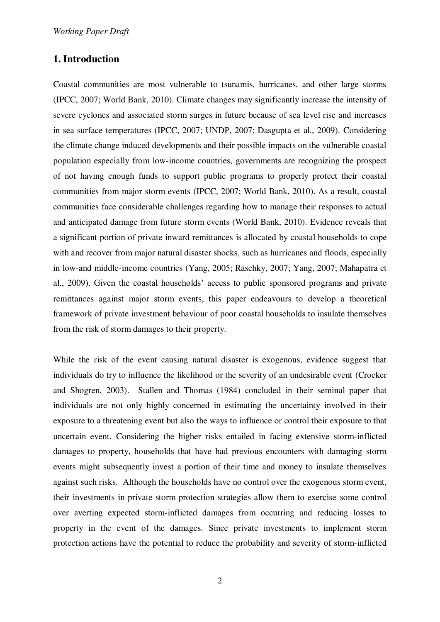# **1. Introduction**

Coastal communities are most vulnerable to tsunamis, hurricanes, and other large storms (IPCC, 2007; World Bank, 2010). Climate changes may significantly increase the intensity of severe cyclones and associated storm surges in future because of sea level rise and increases in sea surface temperatures (IPCC, 2007; UNDP, 2007; Dasgupta et al., 2009). Considering the climate change induced developments and their possible impacts on the vulnerable coastal population especially from low-income countries, governments are recognizing the prospect of not having enough funds to support public programs to properly protect their coastal communities from major storm events (IPCC, 2007; World Bank, 2010). As a result, coastal communities face considerable challenges regarding how to manage their responses to actual and anticipated damage from future storm events (World Bank, 2010). Evidence reveals that a significant portion of private inward remittances is allocated by coastal households to cope with and recover from major natural disaster shocks, such as hurricanes and floods, especially in low-and middle-income countries (Yang, 2005; Raschky, 2007; Yang, 2007; Mahapatra et al., 2009). Given the coastal households' access to public sponsored programs and private remittances against major storm events, this paper endeavours to develop a theoretical framework of private investment behaviour of poor coastal households to insulate themselves from the risk of storm damages to their property.

While the risk of the event causing natural disaster is exogenous, evidence suggest that individuals do try to influence the likelihood or the severity of an undesirable event (Crocker and Shogren, 2003). Stallen and Thomas (1984) concluded in their seminal paper that individuals are not only highly concerned in estimating the uncertainty involved in their exposure to a threatening event but also the ways to influence or control their exposure to that uncertain event. Considering the higher risks entailed in facing extensive storm-inflicted damages to property, households that have had previous encounters with damaging storm events might subsequently invest a portion of their time and money to insulate themselves against such risks. Although the households have no control over the exogenous storm event, their investments in private storm protection strategies allow them to exercise some control over averting expected storm-inflicted damages from occurring and reducing losses to property in the event of the damages. Since private investments to implement storm protection actions have the potential to reduce the probability and severity of storm-inflicted

2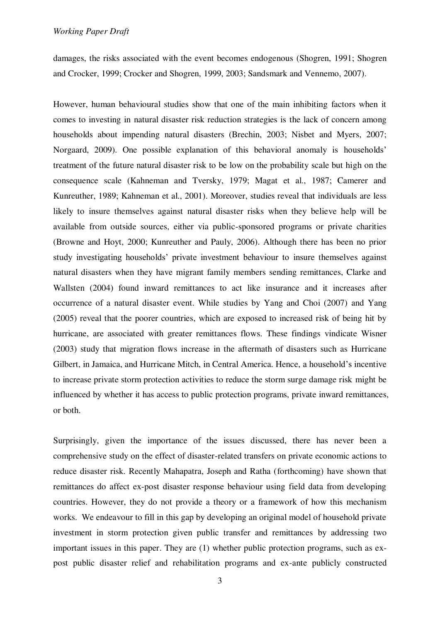damages, the risks associated with the event becomes endogenous (Shogren, 1991; Shogren and Crocker, 1999; Crocker and Shogren, 1999, 2003; Sandsmark and Vennemo, 2007).

However, human behavioural studies show that one of the main inhibiting factors when it comes to investing in natural disaster risk reduction strategies is the lack of concern among households about impending natural disasters (Brechin, 2003; Nisbet and Myers, 2007; Norgaard, 2009). One possible explanation of this behavioral anomaly is households' treatment of the future natural disaster risk to be low on the probability scale but high on the consequence scale (Kahneman and Tversky, 1979; Magat et al., 1987; Camerer and Kunreuther, 1989; Kahneman et al., 2001). Moreover, studies reveal that individuals are less likely to insure themselves against natural disaster risks when they believe help will be available from outside sources, either via public-sponsored programs or private charities (Browne and Hoyt, 2000; Kunreuther and Pauly, 2006). Although there has been no prior study investigating households' private investment behaviour to insure themselves against natural disasters when they have migrant family members sending remittances, Clarke and Wallsten (2004) found inward remittances to act like insurance and it increases after occurrence of a natural disaster event. While studies by Yang and Choi (2007) and Yang (2005) reveal that the poorer countries, which are exposed to increased risk of being hit by hurricane, are associated with greater remittances flows. These findings vindicate Wisner (2003) study that migration flows increase in the aftermath of disasters such as Hurricane Gilbert, in Jamaica, and Hurricane Mitch, in Central America. Hence, a household's incentive to increase private storm protection activities to reduce the storm surge damage risk might be influenced by whether it has access to public protection programs, private inward remittances, or both.

Surprisingly, given the importance of the issues discussed, there has never been a comprehensive study on the effect of disaster-related transfers on private economic actions to reduce disaster risk. Recently Mahapatra, Joseph and Ratha (forthcoming) have shown that remittances do affect ex-post disaster response behaviour using field data from developing countries. However, they do not provide a theory or a framework of how this mechanism works. We endeavour to fill in this gap by developing an original model of household private investment in storm protection given public transfer and remittances by addressing two important issues in this paper. They are (1) whether public protection programs, such as expost public disaster relief and rehabilitation programs and ex-ante publicly constructed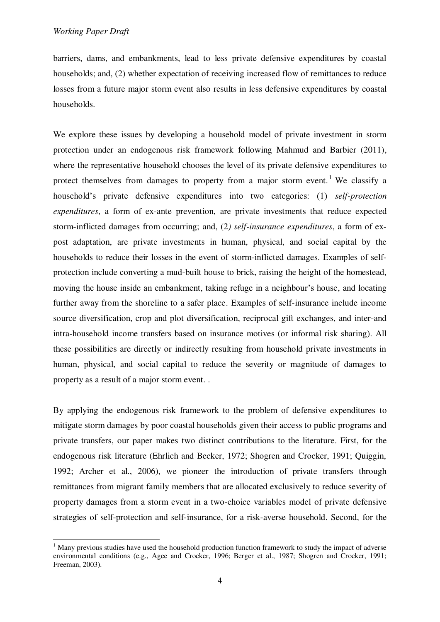-

barriers, dams, and embankments, lead to less private defensive expenditures by coastal households; and, (2) whether expectation of receiving increased flow of remittances to reduce losses from a future major storm event also results in less defensive expenditures by coastal households.

We explore these issues by developing a household model of private investment in storm protection under an endogenous risk framework following Mahmud and Barbier (2011), where the representative household chooses the level of its private defensive expenditures to protect themselves from damages to property from a major storm event.<sup>1</sup> We classify a household's private defensive expenditures into two categories: (1) *self-protection expenditures*, a form of ex-ante prevention, are private investments that reduce expected storm-inflicted damages from occurring; and, (2*) self-insurance expenditures*, a form of expost adaptation, are private investments in human, physical, and social capital by the households to reduce their losses in the event of storm-inflicted damages. Examples of selfprotection include converting a mud-built house to brick, raising the height of the homestead, moving the house inside an embankment, taking refuge in a neighbour's house, and locating further away from the shoreline to a safer place. Examples of self-insurance include income source diversification, crop and plot diversification, reciprocal gift exchanges, and inter-and intra-household income transfers based on insurance motives (or informal risk sharing). All these possibilities are directly or indirectly resulting from household private investments in human, physical, and social capital to reduce the severity or magnitude of damages to property as a result of a major storm event. .

By applying the endogenous risk framework to the problem of defensive expenditures to mitigate storm damages by poor coastal households given their access to public programs and private transfers, our paper makes two distinct contributions to the literature. First, for the endogenous risk literature (Ehrlich and Becker, 1972; Shogren and Crocker, 1991; Quiggin, 1992; Archer et al., 2006), we pioneer the introduction of private transfers through remittances from migrant family members that are allocated exclusively to reduce severity of property damages from a storm event in a two-choice variables model of private defensive strategies of self-protection and self-insurance, for a risk-averse household. Second, for the

<sup>&</sup>lt;sup>1</sup> Many previous studies have used the household production function framework to study the impact of adverse environmental conditions (e.g., Agee and Crocker, 1996; Berger et al., 1987; Shogren and Crocker, 1991; Freeman, 2003).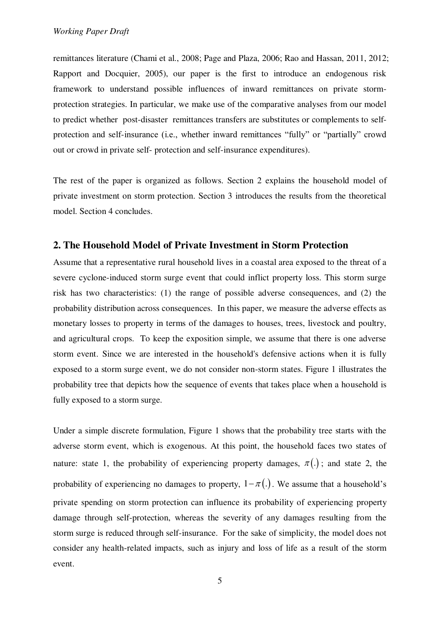remittances literature (Chami et al., 2008; Page and Plaza, 2006; Rao and Hassan, 2011, 2012; Rapport and Docquier, 2005), our paper is the first to introduce an endogenous risk framework to understand possible influences of inward remittances on private stormprotection strategies. In particular, we make use of the comparative analyses from our model to predict whether post-disaster remittances transfers are substitutes or complements to selfprotection and self-insurance (i.e., whether inward remittances "fully" or "partially" crowd out or crowd in private self- protection and self-insurance expenditures).

The rest of the paper is organized as follows. Section 2 explains the household model of private investment on storm protection. Section 3 introduces the results from the theoretical model. Section 4 concludes.

### **2. The Household Model of Private Investment in Storm Protection**

Assume that a representative rural household lives in a coastal area exposed to the threat of a severe cyclone-induced storm surge event that could inflict property loss. This storm surge risk has two characteristics: (1) the range of possible adverse consequences, and (2) the probability distribution across consequences. In this paper, we measure the adverse effects as monetary losses to property in terms of the damages to houses, trees, livestock and poultry, and agricultural crops. To keep the exposition simple, we assume that there is one adverse storm event. Since we are interested in the household's defensive actions when it is fully exposed to a storm surge event, we do not consider non-storm states. Figure 1 illustrates the probability tree that depicts how the sequence of events that takes place when a household is fully exposed to a storm surge.

Under a simple discrete formulation, Figure 1 shows that the probability tree starts with the adverse storm event, which is exogenous. At this point, the household faces two states of nature: state 1, the probability of experiencing property damages,  $\pi(.)$ ; and state 2, the probability of experiencing no damages to property,  $1 - \pi(.)$ . We assume that a household's private spending on storm protection can influence its probability of experiencing property damage through self-protection, whereas the severity of any damages resulting from the storm surge is reduced through self-insurance. For the sake of simplicity, the model does not consider any health-related impacts, such as injury and loss of life as a result of the storm event.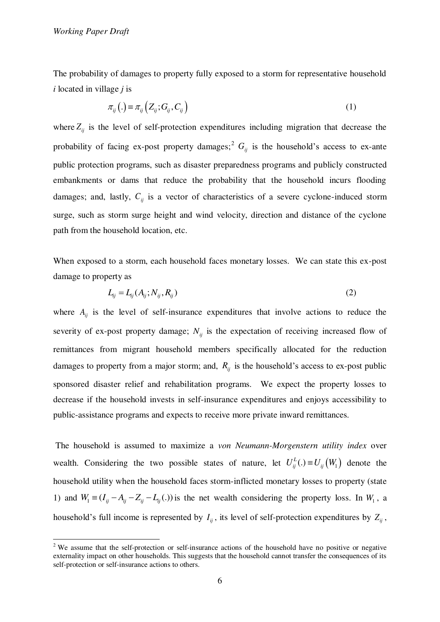*Working Paper Draft* 

-

The probability of damages to property fully exposed to a storm for representative household *i* located in village *j* is

$$
\pi_{ij}\left(.\right) \equiv \pi_{ij}\left(Z_{ij};G_{ij},C_{ij}\right) \tag{1}
$$

where  $Z_{ii}$  is the level of self-protection expenditures including migration that decrease the probability of facing ex-post property damages;<sup>2</sup>  $G_i$  is the household's access to ex-ante public protection programs, such as disaster preparedness programs and publicly constructed embankments or dams that reduce the probability that the household incurs flooding damages; and, lastly,  $C_{ii}$  is a vector of characteristics of a severe cyclone-induced storm surge, such as storm surge height and wind velocity, direction and distance of the cyclone path from the household location, etc.

When exposed to a storm, each household faces monetary losses. We can state this ex-post damage to property as

$$
L_{ij} = L_{ij}(A_{ij}; N_{ij}, R_{ij})
$$
\n<sup>(2)</sup>

where  $A_{ij}$  is the level of self-insurance expenditures that involve actions to reduce the severity of ex-post property damage;  $N_{ij}$  is the expectation of receiving increased flow of remittances from migrant household members specifically allocated for the reduction damages to property from a major storm; and,  $R_{ij}$  is the household's access to ex-post public sponsored disaster relief and rehabilitation programs. We expect the property losses to decrease if the household invests in self-insurance expenditures and enjoys accessibility to public-assistance programs and expects to receive more private inward remittances.

 The household is assumed to maximize a *von Neumann-Morgenstern utility index* over wealth. Considering the two possible states of nature, let  $U_{ij}^{L}(.) \equiv U_{ij}(W_1)$  denote the household utility when the household faces storm-inflicted monetary losses to property (state 1) and  $W_1 = (I_{ij} - A_{ij} - Z_{ij} - L_{ij}(.))$  is the net wealth considering the property loss. In  $W_1$ , a household's full income is represented by  $I_{ij}$ , its level of self-protection expenditures by  $Z_{ij}$ ,

<sup>&</sup>lt;sup>2</sup> We assume that the self-protection or self-insurance actions of the household have no positive or negative externality impact on other households. This suggests that the household cannot transfer the consequences of its self-protection or self-insurance actions to others.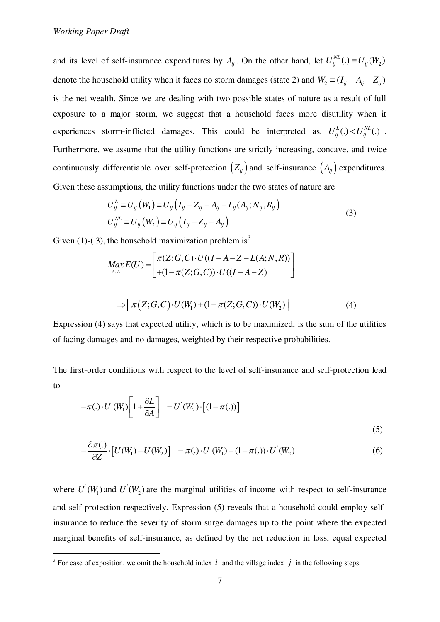and its level of self-insurance expenditures by  $A_{ij}$ . On the other hand, let  $U_{ij}^{NL}(.) \equiv U_{ij}(W_2)$ denote the household utility when it faces no storm damages (state 2) and  $W_2 \equiv (I_{ij} - A_{ij} - Z_{ij})$ is the net wealth. Since we are dealing with two possible states of nature as a result of full exposure to a major storm, we suggest that a household faces more disutility when it experiences storm-inflicted damages. This could be interpreted as,  $U_{ij}^{L}(.) < U_{ij}^{NL}(.)$ . Furthermore, we assume that the utility functions are strictly increasing, concave, and twice continuously differentiable over self-protection  $(Z_{ij})$  and self-insurance  $(A_{ij})$  expenditures. Given these assumptions, the utility functions under the two states of nature are

$$
U_{ij}^{L} \equiv U_{ij} (W_1) \equiv U_{ij} (I_{ij} - Z_{ij} - A_{ij} - L_{ij} (A_{ij}; N_{ij}, R_{ij})
$$
  
\n
$$
U_{ij}^{NL} \equiv U_{ij} (W_2) \equiv U_{ij} (I_{ij} - Z_{ij} - A_{ij})
$$
\n(3)

Given (1)-(3), the household maximization problem is<sup>3</sup>

$$
Max_{Z,A} E(U) = \begin{bmatrix} \pi(Z; G, C) \cdot U((I - A - Z - L(A; N, R))) \\ + (1 - \pi(Z; G, C)) \cdot U((I - A - Z)) \end{bmatrix}
$$
  
\n
$$
\Rightarrow \begin{bmatrix} \pi(Z; G, C) \cdot U(W_1) + (1 - \pi(Z; G, C)) \cdot U(W_2) \end{bmatrix}
$$
 (4)

 Expression (4) says that expected utility, which is to be maximized, is the sum of the utilities of facing damages and no damages, weighted by their respective probabilities.

The first-order conditions with respect to the level of self-insurance and self-protection lead to

$$
-\pi(.) \cdot U^{'}(W_1) \left[1 + \frac{\partial L}{\partial A}\right] = U^{'}(W_2) \cdot \left[(1 - \pi(.))\right]
$$
\n(5)

$$
-\frac{\partial \pi(.)}{\partial Z} \cdot \left[ U(W_1) - U(W_2) \right] = \pi(.) \cdot U'(W_1) + (1 - \pi(.)) \cdot U'(W_2)
$$
 (6)

where  $U'(W_1)$  and  $U'(W_2)$  are the marginal utilities of income with respect to self-insurance and self-protection respectively. Expression (5) reveals that a household could employ selfinsurance to reduce the severity of storm surge damages up to the point where the expected marginal benefits of self-insurance, as defined by the net reduction in loss, equal expected

<sup>&</sup>lt;sup>3</sup> For ease of exposition, we omit the household index  $i$  and the village index  $j$  in the following steps.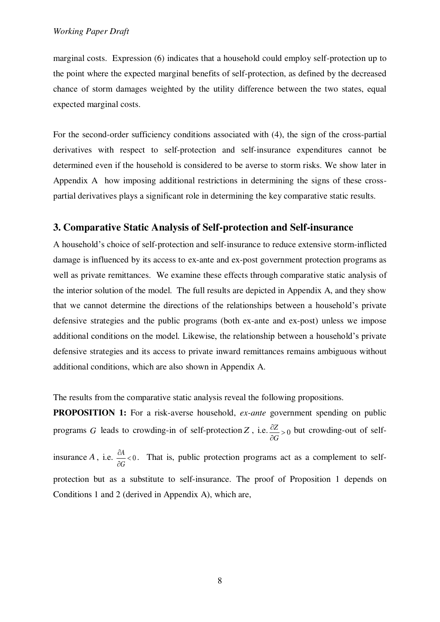marginal costs. Expression (6) indicates that a household could employ self-protection up to the point where the expected marginal benefits of self-protection, as defined by the decreased chance of storm damages weighted by the utility difference between the two states, equal expected marginal costs.

For the second-order sufficiency conditions associated with (4), the sign of the cross-partial derivatives with respect to self-protection and self-insurance expenditures cannot be determined even if the household is considered to be averse to storm risks. We show later in Appendix A how imposing additional restrictions in determining the signs of these crosspartial derivatives plays a significant role in determining the key comparative static results.

# **3. Comparative Static Analysis of Self-protection and Self-insurance**

A household's choice of self-protection and self-insurance to reduce extensive storm-inflicted damage is influenced by its access to ex-ante and ex-post government protection programs as well as private remittances. We examine these effects through comparative static analysis of the interior solution of the model. The full results are depicted in Appendix A, and they show that we cannot determine the directions of the relationships between a household's private defensive strategies and the public programs (both ex-ante and ex-post) unless we impose additional conditions on the model. Likewise, the relationship between a household's private defensive strategies and its access to private inward remittances remains ambiguous without additional conditions, which are also shown in Appendix A.

The results from the comparative static analysis reveal the following propositions.

**PROPOSITION 1:** For a risk-averse household, *ex-ante* government spending on public programs *G* leads to crowding-in of self-protection *Z*, i.e.  $\frac{\partial Z}{\partial z} > 0$ *G*  $\frac{\partial Z}{\partial G}$  but crowding-out of selfinsurance A, i.e.  $\frac{\partial A}{\partial x} < 0$ *G*  $\frac{\partial A}{\partial t}$  $\partial$ . That is, public protection programs act as a complement to selfprotection but as a substitute to self-insurance. The proof of Proposition 1 depends on Conditions 1 and 2 (derived in Appendix A), which are,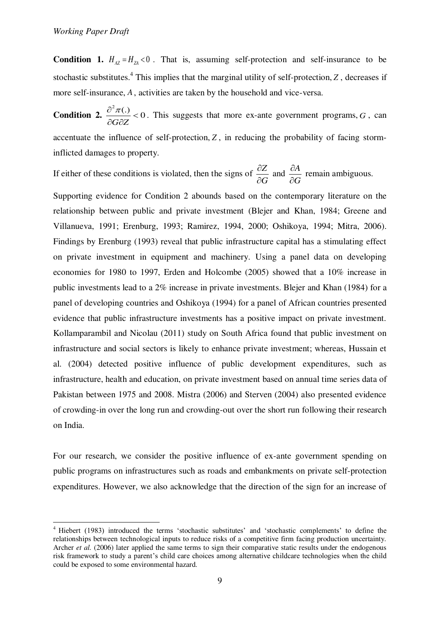**Condition 1.**  $H_{A7} = H_{7A} < 0$ . That is, assuming self-protection and self-insurance to be stochastic substitutes.<sup>4</sup> This implies that the marginal utility of self-protection, *Z*, decreases if more self-insurance, *A*, activities are taken by the household and vice-versa.

**Condition 2.**  $\frac{2\pi}{100} < 0$ *G Z*  $\frac{\partial^2 \pi(.)}{\partial \mathbf{r}}$  $\partial G \partial$ . This suggests that more ex-ante government programs, *G* , can accentuate the influence of self-protection,  $Z$ , in reducing the probability of facing storminflicted damages to property.

If either of these conditions is violated, then the signs of  $\frac{\partial Z}{\partial x}$ *G*  $\hat{c}$  $\hat{o}$ and  $\frac{\partial A}{\partial A}$ *G*  $\hat{o}$  $\hat{o}$ remain ambiguous.

Supporting evidence for Condition 2 abounds based on the contemporary literature on the relationship between public and private investment (Blejer and Khan, 1984; Greene and Villanueva, 1991; Erenburg, 1993; Ramirez, 1994, 2000; Oshikoya, 1994; Mitra, 2006). Findings by Erenburg (1993) reveal that public infrastructure capital has a stimulating effect on private investment in equipment and machinery. Using a panel data on developing economies for 1980 to 1997, Erden and Holcombe (2005) showed that a 10% increase in public investments lead to a 2% increase in private investments. Blejer and Khan (1984) for a panel of developing countries and Oshikoya (1994) for a panel of African countries presented evidence that public infrastructure investments has a positive impact on private investment. Kollamparambil and Nicolau (2011) study on South Africa found that public investment on infrastructure and social sectors is likely to enhance private investment; whereas, Hussain et al. (2004) detected positive influence of public development expenditures, such as infrastructure, health and education, on private investment based on annual time series data of Pakistan between 1975 and 2008. Mistra (2006) and Sterven (2004) also presented evidence of crowding-in over the long run and crowding-out over the short run following their research on India.

For our research, we consider the positive influence of ex-ante government spending on public programs on infrastructures such as roads and embankments on private self-protection expenditures. However, we also acknowledge that the direction of the sign for an increase of

<sup>-</sup><sup>4</sup> Hiebert (1983) introduced the terms 'stochastic substitutes' and 'stochastic complements' to define the relationships between technological inputs to reduce risks of a competitive firm facing production uncertainty. Archer *et al.* (2006) later applied the same terms to sign their comparative static results under the endogenous risk framework to study a parent's child care choices among alternative childcare technologies when the child could be exposed to some environmental hazard.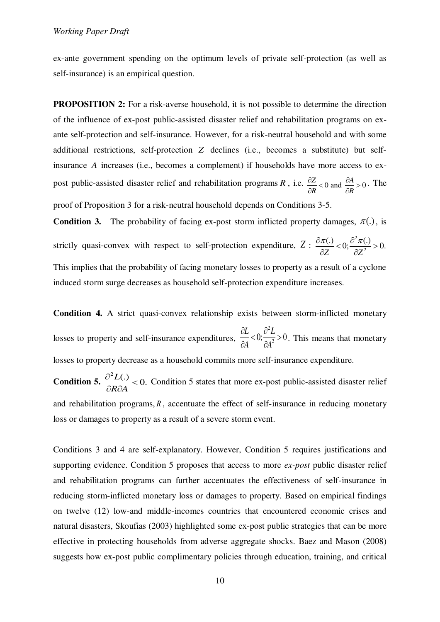ex-ante government spending on the optimum levels of private self-protection (as well as self-insurance) is an empirical question.

**PROPOSITION 2:** For a risk-averse household, it is not possible to determine the direction of the influence of ex-post public-assisted disaster relief and rehabilitation programs on exante self-protection and self-insurance. However, for a risk-neutral household and with some additional restrictions, self-protection *Z* declines (i.e., becomes a substitute) but selfinsurance *A* increases (i.e., becomes a complement) if households have more access to expost public-assisted disaster relief and rehabilitation programs *R*, i.e.  $\frac{\partial Z}{\partial R} < 0$  and  $\frac{\partial A}{\partial R} > 0$  $\frac{\partial Z}{\partial R}$  < 0 and  $\frac{\partial A}{\partial R}$  > . The proof of Proposition 3 for a risk-neutral household depends on Conditions 3-5.

**Condition 3.** The probability of facing ex-post storm inflicted property damages,  $\pi(.)$ , is strictly quasi-convex with respect to self-protection expenditure,  $Z : \frac{\partial \pi(.)}{\partial Z} < 0; \frac{\partial^2}{\partial Z}$  $\frac{(\mathcal{C})}{Z}<0; \frac{\partial^2 \pi(\mathcal{C})}{\partial z^2}>0.$ *Z Z*  $\frac{\partial \pi(.)}{\partial \overline{x}} < 0; \frac{\partial^2 \pi(.)}{\partial \overline{x}} >$  $\partial Z$   $\partial Z$ This implies that the probability of facing monetary losses to property as a result of a cyclone induced storm surge decreases as household self-protection expenditure increases.

**Condition 4.** A strict quasi-convex relationship exists between storm-inflicted monetary losses to property and self-insurance expenditures, 2  $\frac{\partial L}{\partial A} < 0; \frac{\partial^2 L}{\partial A^2} > 0$  $A \qquad \partial A^2$  $\partial L$   $\partial$  $\frac{\partial Z}{\partial A}$  < 0;  $\frac{\partial Z}{\partial A^2}$  > 0. This means that monetary losses to property decrease as a household commits more self-insurance expenditure.

**Condition 5.**  $\frac{2L(.)}{2L} < 0.$ *R A*  $\frac{\partial^2 L(.)}{\partial \mathbf{D} \mathbf{D} \mathbf{A}}$  $\frac{\partial^2 E(t)}{\partial R \partial A}$  < 0. Condition 5 states that more ex-post public-assisted disaster relief and rehabilitation programs, *R*, accentuate the effect of self-insurance in reducing monetary loss or damages to property as a result of a severe storm event.

Conditions 3 and 4 are self-explanatory. However, Condition 5 requires justifications and supporting evidence. Condition 5 proposes that access to more *ex-post* public disaster relief and rehabilitation programs can further accentuates the effectiveness of self-insurance in reducing storm-inflicted monetary loss or damages to property. Based on empirical findings on twelve (12) low-and middle-incomes countries that encountered economic crises and natural disasters, Skoufias (2003) highlighted some ex-post public strategies that can be more effective in protecting households from adverse aggregate shocks. Baez and Mason (2008) suggests how ex-post public complimentary policies through education, training, and critical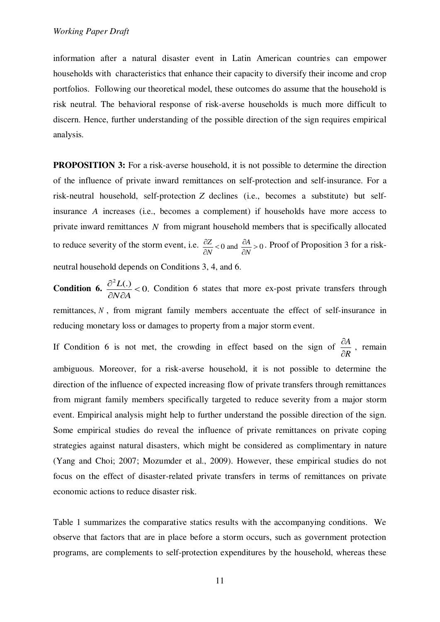information after a natural disaster event in Latin American countries can empower households with characteristics that enhance their capacity to diversify their income and crop portfolios. Following our theoretical model, these outcomes do assume that the household is risk neutral. The behavioral response of risk-averse households is much more difficult to discern. Hence, further understanding of the possible direction of the sign requires empirical analysis.

**PROPOSITION 3:** For a risk-averse household, it is not possible to determine the direction of the influence of private inward remittances on self-protection and self-insurance. For a risk-neutral household, self-protection *Z* declines (i.e., becomes a substitute) but selfinsurance *A* increases (i.e., becomes a complement) if households have more access to private inward remittances *N* from migrant household members that is specifically allocated to reduce severity of the storm event, i.e.  $\frac{\partial Z}{\partial N} < 0$  and  $\frac{\partial A}{\partial N} > 0$  $\frac{\partial Z}{\partial N}$  < 0 and  $\frac{\partial A}{\partial N}$  > . Proof of Proposition 3 for a riskneutral household depends on Conditions 3, 4, and 6.

**Condition 6.**  $\frac{2L(0)}{2L(0)} < 0.$ *N A*  $\frac{\partial^2 L(.)}{\partial \Sigma \Omega}$  $\frac{\partial^2 E(t)}{\partial x \partial A}$  < 0. Condition 6 states that more ex-post private transfers through remittances, *N* , from migrant family members accentuate the effect of self-insurance in reducing monetary loss or damages to property from a major storm event.

If Condition 6 is not met, the crowding in effect based on the sign of  $\frac{\partial A}{\partial r}$ *R*  $\hat{c}$  $\hat{o}$ , remain ambiguous. Moreover, for a risk-averse household, it is not possible to determine the direction of the influence of expected increasing flow of private transfers through remittances from migrant family members specifically targeted to reduce severity from a major storm event. Empirical analysis might help to further understand the possible direction of the sign. Some empirical studies do reveal the influence of private remittances on private coping strategies against natural disasters, which might be considered as complimentary in nature (Yang and Choi; 2007; Mozumder et al., 2009). However, these empirical studies do not focus on the effect of disaster-related private transfers in terms of remittances on private economic actions to reduce disaster risk.

Table 1 summarizes the comparative statics results with the accompanying conditions. We observe that factors that are in place before a storm occurs, such as government protection programs, are complements to self-protection expenditures by the household, whereas these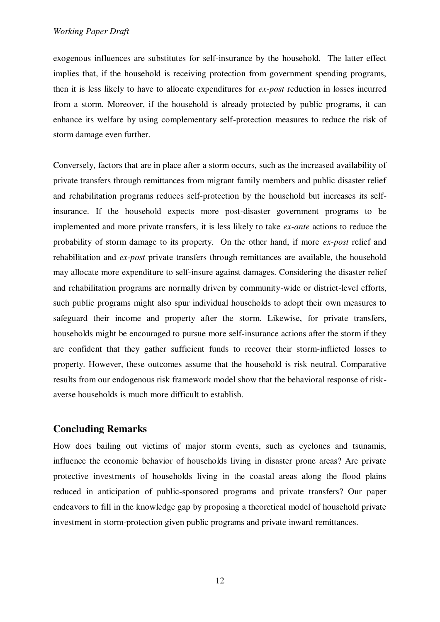exogenous influences are substitutes for self-insurance by the household. The latter effect implies that, if the household is receiving protection from government spending programs, then it is less likely to have to allocate expenditures for *ex-post* reduction in losses incurred from a storm. Moreover, if the household is already protected by public programs, it can enhance its welfare by using complementary self-protection measures to reduce the risk of storm damage even further.

Conversely, factors that are in place after a storm occurs, such as the increased availability of private transfers through remittances from migrant family members and public disaster relief and rehabilitation programs reduces self-protection by the household but increases its selfinsurance. If the household expects more post-disaster government programs to be implemented and more private transfers, it is less likely to take *ex-ante* actions to reduce the probability of storm damage to its property. On the other hand, if more *ex-post* relief and rehabilitation and *ex-post* private transfers through remittances are available, the household may allocate more expenditure to self-insure against damages. Considering the disaster relief and rehabilitation programs are normally driven by community-wide or district-level efforts, such public programs might also spur individual households to adopt their own measures to safeguard their income and property after the storm. Likewise, for private transfers, households might be encouraged to pursue more self-insurance actions after the storm if they are confident that they gather sufficient funds to recover their storm-inflicted losses to property. However, these outcomes assume that the household is risk neutral. Comparative results from our endogenous risk framework model show that the behavioral response of riskaverse households is much more difficult to establish.

# **Concluding Remarks**

How does bailing out victims of major storm events, such as cyclones and tsunamis, influence the economic behavior of households living in disaster prone areas? Are private protective investments of households living in the coastal areas along the flood plains reduced in anticipation of public-sponsored programs and private transfers? Our paper endeavors to fill in the knowledge gap by proposing a theoretical model of household private investment in storm-protection given public programs and private inward remittances.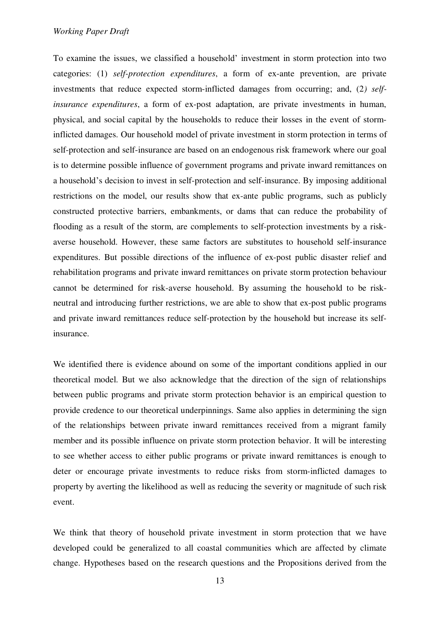#### *Working Paper Draft*

To examine the issues, we classified a household' investment in storm protection into two categories: (1) *self-protection expenditures*, a form of ex-ante prevention, are private investments that reduce expected storm-inflicted damages from occurring; and, (2*) selfinsurance expenditures*, a form of ex-post adaptation, are private investments in human, physical, and social capital by the households to reduce their losses in the event of storminflicted damages. Our household model of private investment in storm protection in terms of self-protection and self-insurance are based on an endogenous risk framework where our goal is to determine possible influence of government programs and private inward remittances on a household's decision to invest in self-protection and self-insurance. By imposing additional restrictions on the model, our results show that ex-ante public programs, such as publicly constructed protective barriers, embankments, or dams that can reduce the probability of flooding as a result of the storm, are complements to self-protection investments by a riskaverse household. However, these same factors are substitutes to household self-insurance expenditures. But possible directions of the influence of ex-post public disaster relief and rehabilitation programs and private inward remittances on private storm protection behaviour cannot be determined for risk-averse household. By assuming the household to be riskneutral and introducing further restrictions, we are able to show that ex-post public programs and private inward remittances reduce self-protection by the household but increase its selfinsurance.

We identified there is evidence abound on some of the important conditions applied in our theoretical model. But we also acknowledge that the direction of the sign of relationships between public programs and private storm protection behavior is an empirical question to provide credence to our theoretical underpinnings. Same also applies in determining the sign of the relationships between private inward remittances received from a migrant family member and its possible influence on private storm protection behavior. It will be interesting to see whether access to either public programs or private inward remittances is enough to deter or encourage private investments to reduce risks from storm-inflicted damages to property by averting the likelihood as well as reducing the severity or magnitude of such risk event.

We think that theory of household private investment in storm protection that we have developed could be generalized to all coastal communities which are affected by climate change. Hypotheses based on the research questions and the Propositions derived from the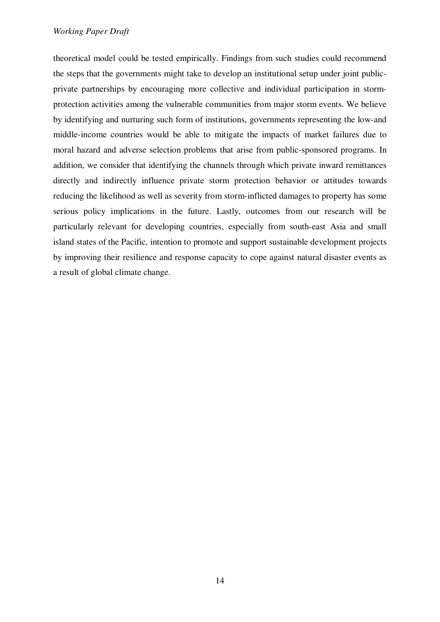## *Working Paper Draft*

theoretical model could be tested empirically. Findings from such studies could recommend the steps that the governments might take to develop an institutional setup under joint publicprivate partnerships by encouraging more collective and individual participation in stormprotection activities among the vulnerable communities from major storm events. We believe by identifying and nurturing such form of institutions, governments representing the low-and middle-income countries would be able to mitigate the impacts of market failures due to moral hazard and adverse selection problems that arise from public-sponsored programs. In addition, we consider that identifying the channels through which private inward remittances directly and indirectly influence private storm protection behavior or attitudes towards reducing the likelihood as well as severity from storm-inflicted damages to property has some serious policy implications in the future. Lastly, outcomes from our research will be particularly relevant for developing countries, especially from south-east Asia and small island states of the Pacific, intention to promote and support sustainable development projects by improving their resilience and response capacity to cope against natural disaster events as a result of global climate change.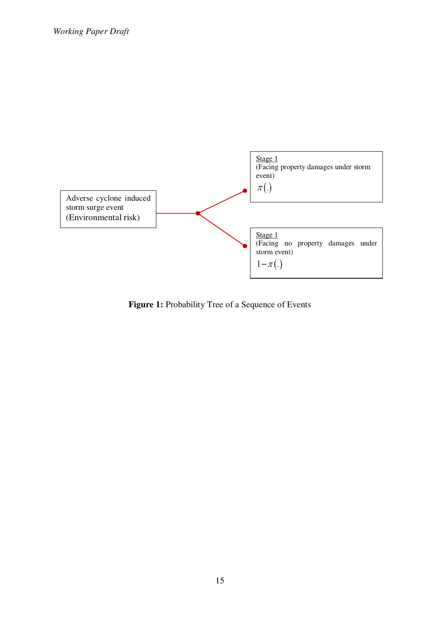

Figure 1: Probability Tree of a Sequence of Events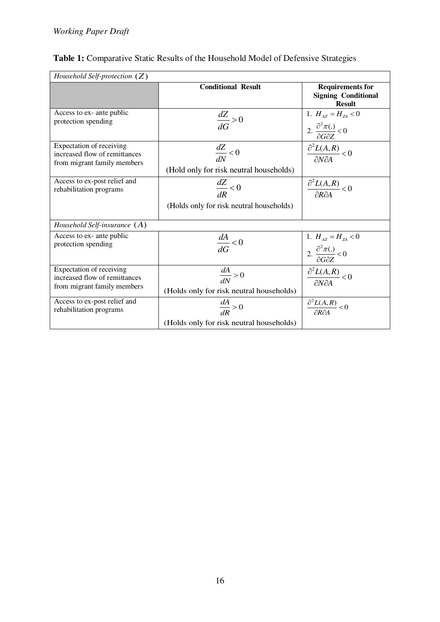| Household Self-protection $(Z)$                                                          |                                                                 |                                                                                      |
|------------------------------------------------------------------------------------------|-----------------------------------------------------------------|--------------------------------------------------------------------------------------|
|                                                                                          | <b>Conditional Result</b>                                       | <b>Requirements for</b><br><b>Signing Conditional</b><br><b>Result</b>               |
| Access to ex- ante public<br>protection spending                                         | $\frac{dZ}{dG} > 0$                                             | 1. $H_{AZ} = H_{ZA} < 0$<br>2. $\frac{\partial^2 \pi(.)}{\partial G \partial Z} < 0$ |
| Expectation of receiving<br>increased flow of remittances<br>from migrant family members | $\frac{dZ}{dN} < 0$<br>(Hold only for risk neutral households)  | $\frac{\partial^2 L(A,R)}{\partial N \partial A} < 0$                                |
| Access to ex-post relief and<br>rehabilitation programs                                  | $\frac{dZ}{dR} < 0$<br>(Holds only for risk neutral households) | $\frac{\partial^2 L(A,R)}{\partial R \partial A} < 0$                                |
| Household Self-insurance $(A)$                                                           |                                                                 |                                                                                      |
| Access to ex- ante public<br>protection spending                                         | $\frac{dA}{dG} < 0$                                             | 1. $H_{AZ} = H_{ZA} < 0$<br>2. $\frac{\partial^2 \pi(.)}{\partial G \partial Z} < 0$ |
| Expectation of receiving<br>increased flow of remittances<br>from migrant family members | $\frac{dA}{dN} > 0$<br>(Holds only for risk neutral households) | $\frac{\partial^2 L(A,R)}{\partial N \partial A} < 0$                                |
| Access to ex-post relief and<br>rehabilitation programs                                  | $\frac{dA}{dR} > 0$<br>(Holds only for risk neutral households) | $\frac{\partial^2 L(A,R)}{\partial R \partial A} < 0$                                |

# **Table 1:** Comparative Static Results of the Household Model of Defensive Strategies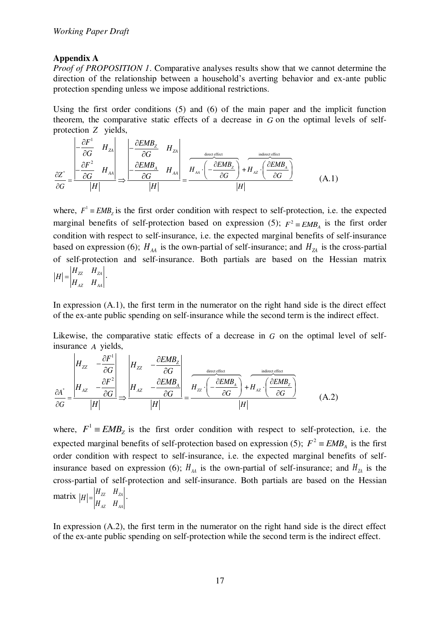# **Appendix A**

*Proof of PROPOSITION 1*. Comparative analyses results show that we cannot determine the direction of the relationship between a household's averting behavior and ex-ante public protection spending unless we impose additional restrictions.

Using the first order conditions (5) and (6) of the main paper and the implicit function theorem, the comparative static effects of a decrease in *G* on the optimal levels of selfprotection *Z* yields,

$$
\frac{\partial Z^*}{\partial G} = \frac{\begin{vmatrix} -\frac{\partial F^1}{\partial G} & H_{ZA} \\ -\frac{\partial F^2}{\partial G} & H_{AA} \end{vmatrix}}{|H|} \Rightarrow \frac{\begin{vmatrix} -\frac{\partial EMB_Z}{\partial G} & H_{ZA} \\ -\frac{\partial EMB_A}{\partial G} & H_{AA} \end{vmatrix}}{|H|} = \frac{H_{AA} \cdot \left( -\frac{\partial EMB_Z}{\partial G} \right) + H_{AZ} \cdot \left( \frac{\partial EMB_A}{\partial G} \right)}{|H|}
$$
(A.1)

where,  $F^1 = EMB_z$  is the first order condition with respect to self-protection, i.e. the expected marginal benefits of self-protection based on expression (5);  $F^2 \equiv EMB_A$  is the first order condition with respect to self-insurance, i.e. the expected marginal benefits of self-insurance based on expression (6);  $H_{AA}$  is the own-partial of self-insurance; and  $H_{ZA}$  is the cross-partial of self-protection and self-insurance. Both partials are based on the Hessian matrix  $|H - H|$ 

$$
|H| = \begin{vmatrix} H_{ZZ} & H_{ZA} \\ H_{AZ} & H_{AA} \end{vmatrix}.
$$

In expression (A.1), the first term in the numerator on the right hand side is the direct effect of the ex-ante public spending on self-insurance while the second term is the indirect effect.

Likewise, the comparative static effects of a decrease in *G* on the optimal level of selfinsurance *A* yields,  $\sim$ 

$$
\frac{\partial A^*}{\partial G} = \frac{\begin{vmatrix} H_{ZZ} & -\frac{\partial F^1}{\partial G} \end{vmatrix}}{\begin{vmatrix} H_{AZ} & -\frac{\partial EMB_Z}{\partial G} \end{vmatrix}} \Rightarrow \frac{\begin{vmatrix} H_{ZZ} & -\frac{\partial EMB_Z}{\partial G} \end{vmatrix}}{\begin{vmatrix} H_{AZ} & -\frac{\partial EMB_A}{\partial G} \end{vmatrix}} = \frac{H_{ZZ} \cdot \left( -\frac{\partial EMB_A}{\partial G} \right) + H_{AZ} \cdot \left( \frac{\partial EMB_Z}{\partial G} \right)}{\begin{vmatrix} H \end{vmatrix}} \tag{A.2}
$$

where,  $F^1 = EMB_z$  is the first order condition with respect to self-protection, i.e. the expected marginal benefits of self-protection based on expression (5);  $F^2 = EMB_A$  is the first order condition with respect to self-insurance, i.e. the expected marginal benefits of selfinsurance based on expression (6);  $H_{AA}$  is the own-partial of self-insurance; and  $H_{ZA}$  is the cross-partial of self-protection and self-insurance. Both partials are based on the Hessian matrix  $|H| = \int_0^H Z^2 \frac{HZ_A}{L}$ *AZ AA*  $H = \begin{vmatrix} H_{zz} & H_z \ H_{xz} & H_z \end{vmatrix}$  $=\begin{vmatrix} u & u \\ v & v \end{vmatrix}$ .

In expression (A.2), the first term in the numerator on the right hand side is the direct effect of the ex-ante public spending on self-protection while the second term is the indirect effect.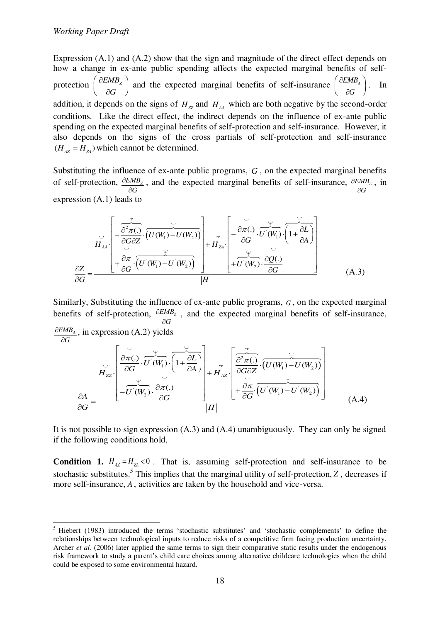-

Expression (A.1) and (A.2) show that the sign and magnitude of the direct effect depends on how a change in ex-ante public spending affects the expected marginal benefits of selfprotection  $\frac{\partial EMB_z}{\partial E}$ *G*  $\partial$  $\left(\frac{\partial EMB_z}{\partial G}\right)$  and the expected marginal benefits of self-insurance  $\left(\frac{\partial EMB_A}{\partial G}\right)$  $\hat{o}$  $\left(\frac{\partial EMB_A}{\partial G}\right)$ . In addition, it depends on the signs of  $H_{ZZ}$  and  $H_{AA}$  which are both negative by the second-order conditions. Like the direct effect, the indirect depends on the influence of ex-ante public spending on the expected marginal benefits of self-protection and self-insurance. However, it also depends on the signs of the cross partials of self-protection and self-insurance  $(H_{AZ} = H_{ZA})$  which cannot be determined.

Substituting the influence of ex-ante public programs, *G* , on the expected marginal benefits of self-protection, *EMB<sup>Z</sup> G*  $\partial$  $\partial$ , and the expected marginal benefits of self-insurance, *EMB<sup>A</sup> G*  $\hat{c}$  $\tilde{c}$ , in expression (A.1) leads to

$$
H_{AA} = \frac{\left[-\frac{\partial^2 \pi}{\partial G \partial Z} \cdot (U(W_1) - U(W_2))\right] + H_{ZA} \cdot \left[-\frac{\partial \pi}{\partial G} \cdot U(W_1) \cdot (1 + \frac{\partial L}{\partial A})\right]}{\left[+\frac{\partial \pi}{\partial G} \cdot (U(W_1) - U(W_2))\right] + H_{ZA} \cdot \left[-\frac{\partial \pi}{\partial G} \cdot U(W_2) \cdot \frac{\partial Q}{\partial G}\right]}
$$
\n(A.3)

Similarly, Substituting the influence of ex-ante public programs, *G* , on the expected marginal benefits of self-protection, *EMB<sup>Z</sup> G*  $\hat{o}$  $\hat{c}$ , and the expected marginal benefits of self-insurance, *EMB<sup>A</sup> G*  $\partial$  $\partial$ , in expression (A.2) yields

$$
H_{ZZ}\left[\begin{array}{c}\frac{\partial \pi}{\partial G} \cdot \overrightarrow{U'(W_1)} \cdot \overrightarrow{\left(1 + \frac{\partial L}{\partial A}\right)} \\ \frac{\partial \pi}{\partial G} \end{array}\right] + H_{AZ} \cdot \left[\begin{array}{c}\frac{\overrightarrow{v}}{\partial^2 \pi C} \cdot \overrightarrow{\left(U(W_1) - U(W_2)\right)} \\ \frac{\partial \pi}{\partial G} \end{array}\right]
$$
\n
$$
\frac{\partial A}{\partial G} = \frac{\frac{\partial A}{\partial G} \cdot \overrightarrow{U(W_2)} \cdot \frac{\partial \pi}{\partial G} \cdot \overrightarrow{U(W_1) - U(W_2)}}{|H|} \qquad (A.4)
$$

It is not possible to sign expression (A.3) and (A.4) unambiguously. They can only be signed if the following conditions hold,

 more self-insurance, *A*, activities are taken by the household and vice-versa. **Condition 1.**  $H_{A Z} = H_{Z A} < 0$ . That is, assuming self-protection and self-insurance to be stochastic substitutes.<sup>5</sup> This implies that the marginal utility of self-protection, *Z*, decreases if

<sup>&</sup>lt;sup>5</sup> Hiebert (1983) introduced the terms 'stochastic substitutes' and 'stochastic complements' to define the relationships between technological inputs to reduce risks of a competitive firm facing production uncertainty. Archer *et al.* (2006) later applied the same terms to sign their comparative static results under the endogenous risk framework to study a parent's child care choices among alternative childcare technologies when the child could be exposed to some environmental hazard.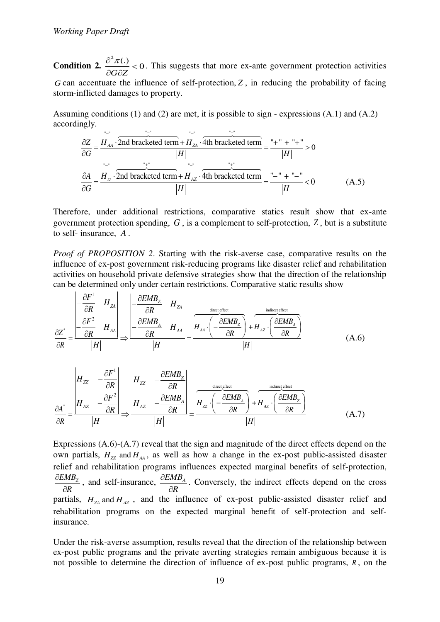**Condition 2.**  $\frac{2\pi}{100} < 0$ *G Z*  $\frac{\partial^2 \pi(.)}{\partial \mathbf{r}}$  $\partial G \partial$ . This suggests that more ex-ante government protection activities *G* can accentuate the influence of self-protection, *Z* , in reducing the probability of facing storm-inflicted damages to property.

Assuming conditions (1) and (2) are met, it is possible to sign - expressions (A.1) and (A.2) accordingly.

$$
\frac{\partial Z}{\partial G} = \frac{H_{AA} \cdot \overbrace{\text{2nd bracketed term}} + H_{ZA} \cdot \overbrace{\text{4th bracketed term}}^{T} = \frac{H_{AA} \cdot \overbrace{\text{2nd bracketed term}}^{T} - H_{I}}{|H|} = \frac{H_{II} \cdot \overbrace{\text{2nd bracketed term}}^{T} + H_{II}}{|H|} > 0
$$
\n
$$
\frac{\partial A}{\partial G} = \frac{H_{zz} \cdot \overbrace{\text{2nd bracketed term}}^{T} + H_{AZ} \cdot \overbrace{\text{4th bracketed term}}^{T} = \frac{H_{II} \cdot H_{II}}{|H|} < 0
$$
\n(A.5)

Therefore, under additional restrictions, comparative statics result show that ex-ante government protection spending, *G* , is a complement to self-protection, *Z* , but is a substitute to self- insurance, *A* .

*Proof of PROPOSITION 2.* Starting with the risk-averse case, comparative results on the influence of ex-post government risk-reducing programs like disaster relief and rehabilitation activities on household private defensive strategies show that the direction of the relationship can be determined only under certain restrictions. Comparative static results show

$$
\frac{\partial Z^*}{\partial R} = \frac{\begin{vmatrix} -\frac{\partial F^1}{\partial R} & H_{ZA} \\ -\frac{\partial F^2}{\partial R} & H_{AA} \end{vmatrix}}{|H|} \Rightarrow \frac{\begin{vmatrix} -\frac{\partial EMB_Z}{\partial R} & H_{ZA} \\ -\frac{\partial EMB_A}{\partial R} & H_{AA} \end{vmatrix}}{|H|} = \frac{H_{AA} \cdot \left( -\frac{\partial EMB_Z}{\partial R} \right) + H_{AZ} \cdot \left( \frac{\partial EMB_A}{\partial R} \right)}{|H|}
$$
(A.6)

$$
\frac{\partial A^*}{\partial R} = \frac{\begin{vmatrix} H_{ZZ} & -\frac{\partial F^1}{\partial R} \\ H_{AZ} & -\frac{\partial F^2}{\partial R} \end{vmatrix}}{\begin{vmatrix} H \end{vmatrix}} \Rightarrow \frac{\begin{vmatrix} H_{ZZ} & -\frac{\partial EMB_Z}{\partial R} \\ H_{AZ} & -\frac{\partial EMB_A}{\partial R} \end{vmatrix}}{\begin{vmatrix} H \end{vmatrix}} = \frac{H_{ZZ} \cdot \left( -\frac{\partial EMB_A}{\partial R} \right) + H_{AZ} \cdot \left( \frac{\partial EMB_Z}{\partial R} \right)}{\begin{vmatrix} H \end{vmatrix}}
$$
(A.7)

Expressions (A.6)-(A.7) reveal that the sign and magnitude of the direct effects depend on the own partials,  $H_{zz}$  and  $H_{AA}$ , as well as how a change in the ex-post public-assisted disaster relief and rehabilitation programs influences expected marginal benefits of self-protection, *EMB<sup>Z</sup> R*  $\partial$  $\partial$ , and self-insurance,  $\frac{\partial EMB_A}{\partial P}$ *R*  $\widehat{o}$  $\partial$ . Conversely, the indirect effects depend on the cross partials,  $H_{ZA}$  and  $H_{AZ}$ , and the influence of ex-post public-assisted disaster relief and rehabilitation programs on the expected marginal benefit of self-protection and selfinsurance.

Under the risk-averse assumption, results reveal that the direction of the relationship between ex-post public programs and the private averting strategies remain ambiguous because it is not possible to determine the direction of influence of ex-post public programs, *R* , on the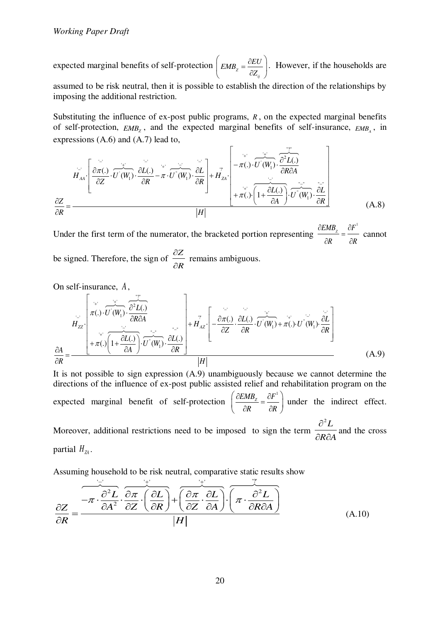expected marginal benefits of self-protection  $|_{EMB_2}$ *ij*  $EMB_z = \frac{\partial EU}{\partial I}$ *Z*  $=\frac{\hat{c}}{c}$  $\left( EMB_z = \frac{\partial EU}{\partial Z_{ii}} \right)$  $\begin{pmatrix}cZ_{ij}\end{pmatrix}$ . However, if the households are assumed to be risk neutral, then it is possible to establish the direction of the relationships by imposing the additional restriction.

Substituting the influence of ex-post public programs, *R* , on the expected marginal benefits of self-protection,  $EMB<sub>Z</sub>$ , and the expected marginal benefits of self-insurance,  $EMB<sub>A</sub>$ , in expressions (A.6) and (A.7) lead to,

 $"''"$ 

$$
H_{AA} \left[ \frac{\partial \pi(.)}{\partial Z} \cdot \overrightarrow{U'(W_1)} \cdot \frac{\partial L(.)}{\partial R} - \pi \cdot \overrightarrow{U''(W_1)} \cdot \frac{\partial L}{\partial R} \right] + H_{ZA} \left[ -\pi(.) \cdot \overrightarrow{U'(W_1)} \cdot \frac{\partial^2 L(.)}{\partial R \partial A} \right]
$$
\n
$$
\frac{\partial Z}{\partial R} = \frac{|H|}{|H|} \left[ \frac{2\pi}{\pi} \left( \frac{\partial L(.)}{\partial A} \right) \cdot \overrightarrow{U'(W_1)} \cdot \frac{\partial L}{\partial R} \right]
$$
\n(A.8)

Under the first term of the numerator, the bracketed portion representing  $EMB_z$   $\partial F^1$ *R R*  $\partial EMB$ ,  $\partial$  $=$  $\partial R$   $\partial$  cannot be signed. Therefore, the sign of *Z R*  $\partial$  $\frac{\partial P}{\partial R}$  remains ambiguous.

On self-insurance, *A* ,

$$
H_{ZZ}\left[\pi(.)\cdot\overrightarrow{U}(W_1)\cdot\overrightarrow{\frac{\partial^2 L(.)}{\partial R \partial A}}\right]+\pi(.)\left[1+\frac{\frac{\partial L(.)}{\partial A}\cdot\overrightarrow{U'(W_1)}\cdot\overrightarrow{\frac{\partial L(.)}{\partial R}}}{|\overrightarrow{H}|}+\pi(.)\left(1+\frac{\frac{\partial L(.)}{\partial A}\cdot\overrightarrow{U'(W_1)}\cdot\overrightarrow{\frac{\partial L(.)}{\partial R}}}{|H|}\right)\right]
$$
(A.9)

It is not possible to sign expression (A.9) unambiguously because we cannot determine the directions of the influence of ex-post public assisted relief and rehabilitation program on the expected marginal benefit of self-protection  $\left(\frac{\partial EMB_z}{\partial E} = \frac{\partial F^1}{\partial E} \right)$ *R R*  $\frac{\partial EMB_z}{\partial E} = \frac{\partial E}{\partial E}$  $\left(\frac{\partial EMB_z}{\partial R} = \frac{\partial F^1}{\partial R}\right)$ under the indirect effect.  $2^2L$  $\hat{o}$ 

Moreover, additional restrictions need to be imposed to sign the term *R A*  $\overline{\partial R \partial A}$  and the cross partial  $H_{74}$ .

Assuming household to be risk neutral, comparative static results show

$$
\frac{\partial Z}{\partial R} = \frac{-\pi \cdot \frac{\partial^2 L}{\partial A^2} \cdot \frac{\partial \pi}{\partial Z} \cdot \left(\frac{\partial L}{\partial R}\right) + \left(\frac{\partial \pi}{\partial Z} \cdot \frac{\partial L}{\partial A}\right) \cdot \left(\pi \cdot \frac{\partial^2 L}{\partial R \partial A}\right)}{|H|}
$$
(A.10)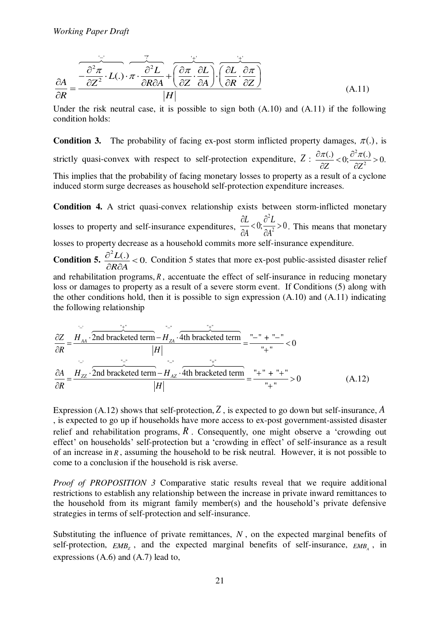$$
\frac{\partial A}{\partial R} = \frac{\overbrace{\partial^2 \pi}^{\overbrace{\partial^2 \pi} \cdot L(.) \cdot \pi \cdot \frac{\partial^2 L}{\partial R \partial A} + \left(\frac{\partial \pi}{\partial Z} \cdot \frac{\partial L}{\partial A}\right) \cdot \left(\frac{\partial L}{\partial R} \cdot \frac{\partial \pi}{\partial Z}\right)}{|H|}
$$
(A.11)

Under the risk neutral case, it is possible to sign both (A.10) and (A.11) if the following condition holds:

**Condition 3.** The probability of facing ex-post storm inflicted property damages,  $\pi(.)$ , is strictly quasi-convex with respect to self-protection expenditure,  $Z : \frac{\partial \pi(.)}{\partial Z} < 0; \frac{\partial^2}{\partial Z}$  $\frac{(\mathcal{C})}{Z}<0; \frac{\partial^2 \pi(\mathcal{C})}{\partial z^2}>0.$ *Z Z*  $\frac{\partial \pi(.)}{\partial \overline{x}} < 0; \frac{\partial^2 \pi(.)}{\partial \overline{x}} >$  $\partial Z$   $\partial Z$ This implies that the probability of facing monetary losses to property as a result of a cyclone induced storm surge decreases as household self-protection expenditure increases.

**Condition 4.** A strict quasi-convex relationship exists between storm-inflicted monetary losses to property and self-insurance expenditures, 2  $\frac{\partial L}{\partial A} < 0; \frac{\partial^2 L}{\partial A^2} > 0$  $A \qquad \partial A^2$  $\partial L$   $\partial$  $\frac{\partial Z}{\partial A}$  < 0;  $\frac{\partial Z}{\partial A^2}$  > 0. This means that monetary losses to property decrease as a household commits more self-insurance expenditure. **Condition 5.**  $\frac{2L(1)}{2L} < 0.$ *R A*  $\frac{\partial^2 L(.)}{\partial \mathbf{E}}$  $\frac{\partial^2 E(t)}{\partial R \partial A}$  < 0. Condition 5 states that more ex-post public-assisted disaster relief and rehabilitation programs, *R*, accentuate the effect of self-insurance in reducing monetary

loss or damages to property as a result of a severe storm event. If Conditions (5) along with the other conditions hold, then it is possible to sign expression (A.10) and (A.11) indicating the following relationship

$$
\frac{\partial Z}{\partial R} = \frac{H_{AA} \cdot \overline{2nd \text{ bracketed term}} - H_{ZA} \cdot \overline{4th \text{ bracketed term}}}{|H|} = \frac{m - m + m - m}{m + m} < 0
$$
\n
$$
\frac{\partial A}{\partial R} = \frac{H_{ZZ} \cdot \overline{2nd \text{ bracketed term}} - H_{AZ} \cdot \overline{4th \text{ bracketed term}}}{|H|} = \frac{m + m + m + m}{m + m} < 0
$$
\n(A.12)

Expression (A.12) shows that self-protection, *Z* , is expected to go down but self-insurance, *A* , is expected to go up if households have more access to ex-post government-assisted disaster relief and rehabilitation programs,  $\hat{R}$ . Consequently, one might observe a 'crowding out effect' on households' self-protection but a 'crowding in effect' of self-insurance as a result of an increase in *R* , assuming the household to be risk neutral. However, it is not possible to come to a conclusion if the household is risk averse.

*Proof of PROPOSITION 3* Comparative static results reveal that we require additional restrictions to establish any relationship between the increase in private inward remittances to the household from its migrant family member(s) and the household's private defensive strategies in terms of self-protection and self-insurance.

Substituting the influence of private remittances, *N* , on the expected marginal benefits of self-protection,  $EMB<sub>z</sub>$ , and the expected marginal benefits of self-insurance,  $EMB<sub>A</sub>$ , in expressions (A.6) and (A.7) lead to,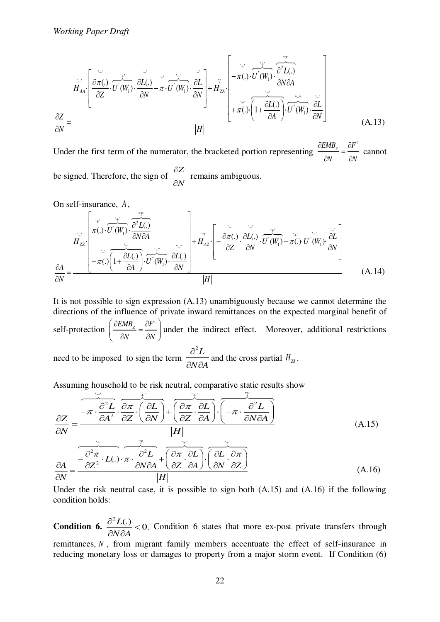$$
H_{AA} \left[ \frac{\partial \pi(.)}{\partial Z} \cdot \overrightarrow{U'(W_1)} \cdot \frac{\partial L(.)}{\partial N} - \pi \cdot \overrightarrow{U''(W_1)} \cdot \frac{\partial L}{\partial N} \right] + H_{ZA} \left[ -\pi(.) \cdot \overrightarrow{U'(W_1)} \cdot \frac{\partial^2 L(.)}{\partial N \partial A} \right]
$$
\n
$$
\frac{\partial Z}{\partial N} = \frac{\overrightarrow{Z''}}{|H|} \left[ \frac{\overrightarrow{Z''}}{+ \pi(.) \cdot \left( 1 + \frac{\partial L(.)}{\partial A} \right) \cdot \overrightarrow{U''(W_1)} \cdot \frac{\partial L}{\partial N}} \right]
$$
\n(A.13)

Under the first term of the numerator, the bracketed portion representing EMB $_{\rm z}$   $\partial F^{\rm 1}$ *N N*  $\partial EMB$ ,  $\partial$  $=$  $\partial N$   $\partial$  cannot be signed. Therefore, the sign of *Z N*  $\partial$  $\frac{\partial \mathbf{r}}{\partial N}$  remains ambiguous.

On self-insurance, *A* ,

$$
H_{ZZ}\left[\pi(.)\cdot\overline{U'(W_1)}\cdot\frac{\partial^2 L(.)}{\partial N \partial A}\right]+\pi(.)\left[1+\frac{\partial L(.)}{\partial A}\right]\cdot\overline{U'(W_1)}\cdot\frac{\partial L(.)}{\partial N}\right]+\overline{H}_{AZ}^{\prime}\cdot\left[-\frac{\partial \pi(.)}{\partial Z}\cdot\frac{\partial L(.)}{\partial N}\cdot\overline{U'(W_1)}+\pi(.)\cdot U'(W_1)\cdot\frac{\partial L}{\partial N}\right]
$$
\n(A.14)

It is not possible to sign expression (A.13) unambiguously because we cannot determine the directions of the influence of private inward remittances on the expected marginal benefit of self-protection  $\left(\frac{\partial EMB_z}{\partial M} = \frac{\partial F^1}{\partial M} \right)$ *N N*  $\frac{\partial EMB_z}{\partial E} = \frac{\partial E}{\partial E}$  $\left(\frac{\partial EMB_z}{\partial N} = \frac{\partial F^1}{\partial N}\right)$ under the indirect effect. Moreover, additional restrictions need to be imposed to sign the term  $^{2}L$ *N A*  $\hat{o}$  $\overline{\partial N \partial A}$  and the cross partial  $H_{\text{ZA}}$ .

Assuming household to be risk neutral, comparative static results show

$$
\frac{\partial Z}{\partial N} = \frac{-\pi \cdot \frac{\partial^2 L}{\partial A^2} \cdot \frac{\partial \pi}{\partial Z} \cdot \left(\frac{\partial L}{\partial N}\right) + \left(\frac{\partial \pi}{\partial Z} \cdot \frac{\partial L}{\partial A}\right) \cdot \left(-\pi \cdot \frac{\partial^2 L}{\partial N \partial A}\right)}{|H|}
$$
\n(A.15)\n
$$
\frac{\partial A}{\partial N} = \frac{-\frac{\partial^2 \pi}{\partial Z^2} \cdot L(.) \cdot \pi \cdot \frac{\partial^2 L}{\partial N \partial A} + \left(\frac{\partial \pi}{\partial Z} \cdot \frac{\partial L}{\partial A}\right) \cdot \left(\frac{\partial L}{\partial N} \cdot \frac{\partial \pi}{\partial Z}\right)}{|H|}
$$
\n(A.16)

Under the risk neutral case, it is possible to sign both (A.15) and (A.16) if the following condition holds:

**Condition 6.**  $\frac{2L(1)}{2L(2)} < 0.$ *N A*  $\frac{\partial^2 L(.)}{\partial \Sigma \Omega}$  $\frac{\partial^2 E(t)}{\partial x \partial A}$  < 0. Condition 6 states that more ex-post private transfers through remittances, *N* , from migrant family members accentuate the effect of self-insurance in reducing monetary loss or damages to property from a major storm event. If Condition (6)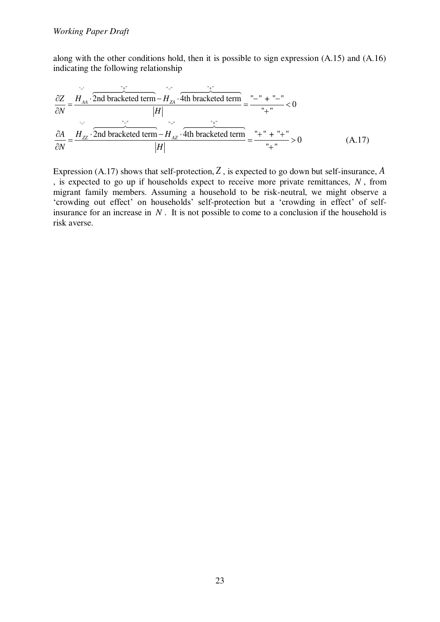along with the other conditions hold, then it is possible to sign expression (A.15) and (A.16) indicating the following relationship

$$
\frac{\partial Z}{\partial N} = \frac{H_{AA} \cdot \overbrace{\text{2nd bracketed term}}^{+1} - H_{ZA} \cdot \overbrace{\text{4th bracketed term}}^{+1} = \frac{m}{1} - \frac{m}{1} + \frac{m}{1} - \frac{m}{1} = 0
$$
\n
$$
\frac{\partial A}{\partial N} = \frac{H_{ZZ} \cdot \overbrace{\text{2nd bracketed term}}^{+1} - H_{AZ} \cdot \overbrace{\text{4th bracketed term}}^{+1} = \frac{m}{1} + \frac{m}{1} + \frac{m}{1} = 0
$$
\n(A.17)

Expression (A.17) shows that self-protection, *Z* , is expected to go down but self-insurance, *A* , is expected to go up if households expect to receive more private remittances, *N* , from migrant family members. Assuming a household to be risk-neutral, we might observe a 'crowding out effect' on households' self-protection but a 'crowding in effect' of selfinsurance for an increase in *N* . It is not possible to come to a conclusion if the household is risk averse.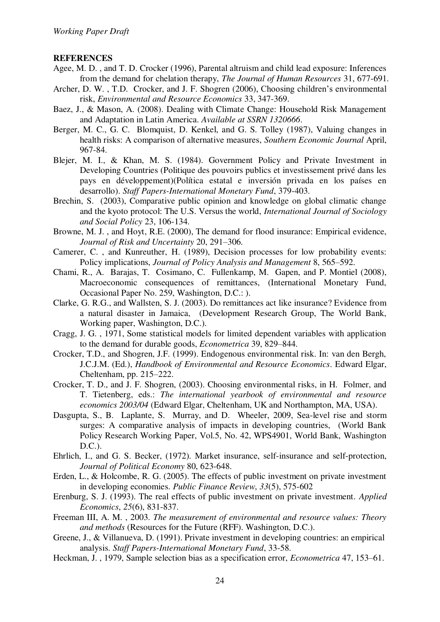# **REFERENCES**

- Agee, M. D. , and T. D. Crocker (1996), Parental altruism and child lead exposure: Inferences from the demand for chelation therapy, *The Journal of Human Resources* 31, 677-691.
- Archer, D. W. , T.D. Crocker, and J. F. Shogren (2006), Choosing children's environmental risk, *Environmental and Resource Economics* 33, 347-369.
- Baez, J., & Mason, A. (2008). Dealing with Climate Change: Household Risk Management and Adaptation in Latin America. *Available at SSRN 1320666*.
- Berger, M. C., G. C. Blomquist, D. Kenkel, and G. S. Tolley (1987), Valuing changes in health risks: A comparison of alternative measures, *Southern Economic Journal* April, 967-84.
- Blejer, M. I., & Khan, M. S. (1984). Government Policy and Private Investment in Developing Countries (Politique des pouvoirs publics et investissement privé dans les pays en développement)(Política estatal e inversión privada en los países en desarrollo). *Staff Papers-International Monetary Fund*, 379-403.
- Brechin, S. (2003), Comparative public opinion and knowledge on global climatic change and the kyoto protocol: The U.S. Versus the world, *International Journal of Sociology and Social Policy* 23, 106-134.
- Browne, M. J. , and Hoyt, R.E. (2000), The demand for flood insurance: Empirical evidence, *Journal of Risk and Uncertainty* 20, 291–306.
- Camerer, C. , and Kunreuther, H. (1989), Decision processes for low probability events: Policy implications, *Journal of Policy Analysis and Management* 8, 565–592.
- Chami, R., A. Barajas, T. Cosimano, C. Fullenkamp, M. Gapen, and P. Montiel (2008), Macroeconomic consequences of remittances, (International Monetary Fund, Occasional Paper No. 259, Washington, D.C.: ).
- Clarke, G. R.G., and Wallsten, S. J. (2003). Do remittances act like insurance? Evidence from a natural disaster in Jamaica, (Development Research Group, The World Bank, Working paper, Washington, D.C.).
- Cragg, J. G. , 1971, Some statistical models for limited dependent variables with application to the demand for durable goods, *Econometrica* 39, 829–844.
- Crocker, T.D., and Shogren, J.F. (1999). Endogenous environmental risk. In: van den Bergh, J.C.J.M. (Ed.), *Handbook of Environmental and Resource Economics*. Edward Elgar, Cheltenham, pp. 215–222.
- Crocker, T. D., and J. F. Shogren, (2003). Choosing environmental risks, in H. Folmer, and T. Tietenberg, eds.: *The international yearbook of environmental and resource economics 2003/04* (Edward Elgar, Cheltenham, UK and Northampton, MA, USA).
- Dasgupta, S., B. Laplante, S. Murray, and D. Wheeler, 2009, Sea-level rise and storm surges: A comparative analysis of impacts in developing countries, (World Bank Policy Research Working Paper, Vol.5, No. 42, WPS4901, World Bank, Washington D.C.).
- Ehrlich, I., and G. S. Becker, (1972). Market insurance, self-insurance and self-protection, *Journal of Political Economy* 80, 623-648.
- Erden, L., & Holcombe, R. G. (2005). The effects of public investment on private investment in developing economies. *Public Finance Review*, *33*(5), 575-602
- Erenburg, S. J. (1993). The real effects of public investment on private investment. *Applied Economics*, *25*(6), 831-837.
- Freeman III, A. M. , 2003. *The measurement of environmental and resource values: Theory and methods* (Resources for the Future (RFF). Washington, D.C.).
- Greene, J., & Villanueva, D. (1991). Private investment in developing countries: an empirical analysis. *Staff Papers-International Monetary Fund*, 33-58.
- Heckman, J. , 1979, Sample selection bias as a specification error, *Econometrica* 47, 153–61.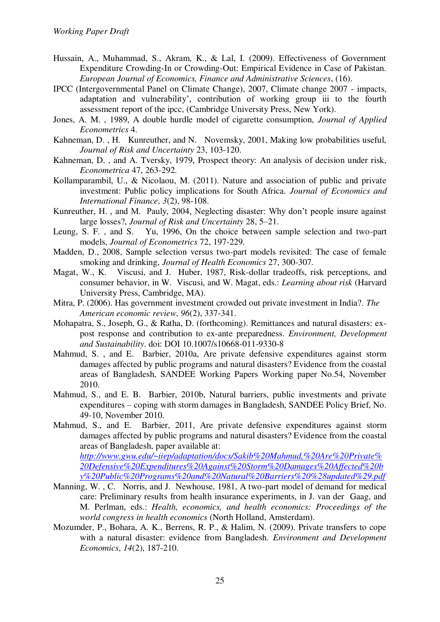- Hussain, A., Muhammad, S., Akram, K., & Lal, I. (2009). Effectiveness of Government Expenditure Crowding-In or Crowding-Out: Empirical Evidence in Case of Pakistan. *European Journal of Economics, Finance and Administrative Sciences*, (16).
- IPCC (Intergovernmental Panel on Climate Change), 2007, Climate change 2007 impacts, adaptation and vulnerability', contribution of working group iii to the fourth assessment report of the ipcc, (Cambridge University Press, New York).
- Jones, A. M. , 1989, A double hurdle model of cigarette consumption, *Journal of Applied Econometrics* 4.
- Kahneman, D. , H. Kunreuther, and N. Novemsky, 2001, Making low probabilities useful, *Journal of Risk and Uncertainty* 23, 103-120.
- Kahneman, D. , and A. Tversky, 1979, Prospect theory: An analysis of decision under risk, *Econometrica* 47, 263-292.
- Kollamparambil, U., & Nicolaou, M. (2011). Nature and association of public and private investment: Public policy implications for South Africa. *Journal of Economics and International Finance*, *3*(2), 98-108.
- Kunreuther, H. , and M. Pauly, 2004, Neglecting disaster: Why don't people insure against large losses?, *Journal of Risk and Uncertainty* 28, 5–21.
- Leung, S. F. , and S. Yu, 1996, On the choice between sample selection and two-part models, *Journal of Econometrics* 72, 197-229.
- Madden, D., 2008, Sample selection versus two-part models revisited: The case of female smoking and drinking, *Journal of Health Economics* 27, 300-307.
- Magat, W., K. Viscusi, and J. Huber, 1987, Risk-dollar tradeoffs, risk perceptions, and consumer behavior, in W. Viscusi, and W. Magat, eds.: *Learning about risk* (Harvard University Press, Cambridge, MA).
- Mitra, P. (2006). Has government investment crowded out private investment in India?. *The American economic review*, *96*(2), 337-341.
- Mohapatra, S., Joseph, G., & Ratha, D. (forthcoming). Remittances and natural disasters: expost response and contribution to ex-ante preparedness. *Environment, Development and Sustainability*. doi: DOI 10.1007/s10668-011-9330-8
- Mahmud, S. , and E. Barbier, 2010a, Are private defensive expenditures against storm damages affected by public programs and natural disasters? Evidence from the coastal areas of Bangladesh, SANDEE Working Papers Working paper No.54, November 2010.
- Mahmud, S., and E. B. Barbier, 2010b, Natural barriers, public investments and private expenditures – coping with storm damages in Bangladesh, SANDEE Policy Brief, No. 49-10, November 2010.
- Mahmud, S., and E. Barbier, 2011, Are private defensive expenditures against storm damages affected by public programs and natural disasters? Evidence from the coastal areas of Bangladesh, paper available at: *[http://www.gwu.edu/~iiep/adaptation/docs/Sakib%20Mahmud,%20Are%20Private%](http://www.gwu.edu/~iiep/adaptation/docs/Sakib%20Mahmud,%20Are%20Private%20Defensive%20Expenditures%20Against%20Storm%20Damages%20Affected%20by%20Public%20Programs%20and%20Natural%20Barriers%20%28updated%29.pdf) [20Defensive%20Expenditures%20Against%20Storm%20Damages%20Affected%20b](http://www.gwu.edu/~iiep/adaptation/docs/Sakib%20Mahmud,%20Are%20Private%20Defensive%20Expenditures%20Against%20Storm%20Damages%20Affected%20by%20Public%20Programs%20and%20Natural%20Barriers%20%28updated%29.pdf) [y%20Public%20Programs%20and%20Natural%20Barriers%20%28updated%29.pdf](http://www.gwu.edu/~iiep/adaptation/docs/Sakib%20Mahmud,%20Are%20Private%20Defensive%20Expenditures%20Against%20Storm%20Damages%20Affected%20by%20Public%20Programs%20and%20Natural%20Barriers%20%28updated%29.pdf)*
- Manning, W., C. Norris, and J. Newhouse, 1981, A two-part model of demand for medical care: Preliminary results from health insurance experiments, in J. van der Gaag, and M. Perlman, eds.: *Health, economics, and health economics: Proceedings of the world congress in health economics* (North Holland, Amsterdam).
- Mozumder, P., Bohara, A. K., Berrens, R. P., & Halim, N. (2009). Private transfers to cope with a natural disaster: evidence from Bangladesh. *Environment and Development Economics*, *14*(2), 187-210.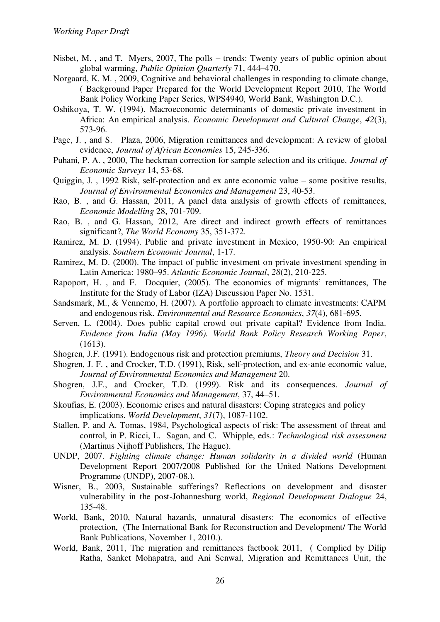- Nisbet, M. , and T. Myers, 2007, The polls trends: Twenty years of public opinion about global warming, *Public Opinion Quarterly* 71, 444–470.
- Norgaard, K. M. , 2009, Cognitive and behavioral challenges in responding to climate change, ( Background Paper Prepared for the World Development Report 2010, The World Bank Policy Working Paper Series, WPS4940, World Bank, Washington D.C.).
- Oshikoya, T. W. (1994). Macroeconomic determinants of domestic private investment in Africa: An empirical analysis. *Economic Development and Cultural Change*, *42*(3), 573-96.
- Page, J. , and S. Plaza, 2006, Migration remittances and development: A review of global evidence, *Journal of African Economies* 15, 245-336.
- Puhani, P. A. , 2000, The heckman correction for sample selection and its critique, *Journal of Economic Surveys* 14, 53-68.
- Quiggin, J. , 1992 Risk, self-protection and ex ante economic value some positive results, *Journal of Environmental Economics and Management* 23, 40-53.
- Rao, B. , and G. Hassan, 2011, A panel data analysis of growth effects of remittances, *Economic Modelling* 28, 701-709.
- Rao, B. , and G. Hassan, 2012, Are direct and indirect growth effects of remittances significant?, *The World Economy* 35, 351-372.
- Ramirez, M. D. (1994). Public and private investment in Mexico, 1950-90: An empirical analysis. *Southern Economic Journal*, 1-17.
- Ramirez, M. D. (2000). The impact of public investment on private investment spending in Latin America: 1980–95. *Atlantic Economic Journal*, *28*(2), 210-225.
- Rapoport, H. , and F. Docquier, (2005). The economics of migrants' remittances, The Institute for the Study of Labor (IZA) Discussion Paper No. 1531.
- Sandsmark, M., & Vennemo, H. (2007). A portfolio approach to climate investments: CAPM and endogenous risk. *Environmental and Resource Economics*, *37*(4), 681-695.
- Serven, L. (2004). Does public capital crowd out private capital? Evidence from India. *Evidence from India (May 1996). World Bank Policy Research Working Paper*, (1613).
- Shogren, J.F. (1991). Endogenous risk and protection premiums, *Theory and Decision* 31.
- Shogren, J. F. , and Crocker, T.D. (1991), Risk, self-protection, and ex-ante economic value, *Journal of Environmental Economics and Management* 20.
- Shogren, J.F., and Crocker, T.D. (1999). Risk and its consequences. *Journal of Environmental Economics and Management*, 37, 44–51.
- Skoufias, E. (2003). Economic crises and natural disasters: Coping strategies and policy implications. *World Development*, *31*(7), 1087-1102.
- Stallen, P. and A. Tomas, 1984, Psychological aspects of risk: The assessment of threat and control, in P. Ricci, L. Sagan, and C. Whipple, eds.: *Technological risk assessment* (Martinus Nijhoff Publishers, The Hague).
- UNDP, 2007. *Fighting climate change: Human solidarity in a divided world* (Human Development Report 2007/2008 Published for the United Nations Development Programme (UNDP), 2007-08.).
- Wisner, B., 2003, Sustainable sufferings? Reflections on development and disaster vulnerability in the post-Johannesburg world, *Regional Development Dialogue* 24, 135-48.
- World, Bank, 2010, Natural hazards, unnatural disasters: The economics of effective protection, (The International Bank for Reconstruction and Development/ The World Bank Publications, November 1, 2010.).
- World, Bank, 2011, The migration and remittances factbook 2011, ( Complied by Dilip Ratha, Sanket Mohapatra, and Ani Senwal, Migration and Remittances Unit, the